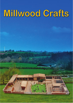# Millwood Crafts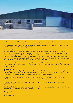

Welcome to the world of authentic and realistic looking farm buildings and accessories.

We believe simplicity is the key to stimulate a child's imagination and encourage them to think creatively having endless fun and playtime

#### **Who are we?**

Millwood Crafts is a family owned firm in which two brothers developed a niche market, hand crafting quality wooden farms within the Crafts industry. The firm was established in 2006 with its base on a small farm holding outside Benburb in Co. Tyrone. In 2005 one of our children requested a toy farm for Christmas. This wish proved difficult to fulfil, as we could not source a high quality durable product. Not to be beaten we decided to design and handcraft our own, modelled on the farm we grew up on. Unknown to us, the result was to be the beginning of Millwood Crafts.

Soon friends and family were requesting replica farms and the seed was planted. During this time the long-term sustainability of our small farm linked with an established agricultural maintenance business was in question.

#### **Why our product?**

Four simple words: **Quality. Unique. Personal. Passionate.** Over the past years we faced many hurdles which were overcome through passion, determination, guidance and the willingness to recognise our limatations and to build on them using strengths from ourselves and others.

Millwood Crafts produces a quality product which is unique in design with a truly personal touch and which is passionately handcrafted from one of our most natural sources.

Millwood Crafts is built around strong family values and we will continue to draw from these as we grow in the future.

Thank you for taking the time to look at our products. If you have any questions or comments please contact us. For your nearest stockist check our Website.

Many Thanks

(John Robinson)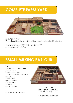### **ComPlete farm yard**



FS40, FS41 & FS42 Consisting of Livestock Yard, Small Farm Yard and Small Milking Parlour.

Size Approx: Length 72", Width 32", Height 7" *Accessories not included*

### **small milking ParloUr**

FS42 24 Cubicles, milks 8 cows Slatted pen, Feeding Passage, Sunken pit where the farmer stands, Steel Gates, Bulk Tank Room, Calving Pen, 2 Doors, Water Troughs,



Scale: 1:32 Size Approx: Length 24", Width 32", Height 4"

Suitable For Small Cows.

*\* animals not included \**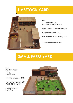### **livestoCk yard**



FS40 3 Cattle Pens, Silo, Crush with pen, Calf Pens,

Steel Gates, Removable Roofs.

Suitable for Scale 1:32

Size Approx L: 24", W:32", H:7"

*Accessories not included*

# **small farm yard**

FS41 2 Sliding Doors Field, Steel Gates

Suitable for Scale: 1:32

Size Approx: Length 24", Width 32", Height 7"

*Accessories not included*

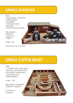### **small garage**

FS52 Main garage, small door, 2 sliding doors, 2 spotlights, small open shed, steel gate, manufacturers banners

Size Approx: Width 32" Length 24", Height 7"

Scale 1:32

*Machinery not included*



# **small Cattle mart**

#### FS50

11 holding pens, steel gates, sales ring, auctioneers box, mart office, loading pen, numbering crush, bidding gallery

Scale: 1:32

Size Approx: Length 32", Width 24", Height 4"

*Animals not included*

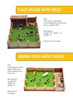### **Calf hoUse With field**



FS23 Calf house, steel gate, surrounding fence attached set on a green field

Size Approx Length: 18", Width: 12", Height: 5"

*Animals not included*

# **green field With CrUsh**

FS11 2 steel gates, crush, green field area surrounding fence and wall.

Size Approx: Length 18", Width 12", Height 3"

*Animals not included*

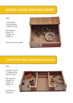### **Bedded hoUse With ring feeder**

### FS22

1 Steel gate 1 Ring Feeder 1 Metal Trough

Size Approx: Width 12", Length 12", Height 5"

*Animals not included*



### **Cattle Pen and handling faCilities**

#### FS24

4 Gates, Crush, ½ Feeder Ring Meal Trough

Size Approx: Length 18" Width 12" Height 3"

*Animals not included*

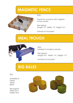# **MAGNETIC FENCE**



FS25

The fence connects with magnets at the corners

Size Approx Length: 12", Width: 12", Height: 2½"

*Animals not included*

# **meal troUgh**



FS55 Suitable for Schleich animals

Size Approx Length: 4½", Width: 1¾", Height: 1¾"

*Aminals not included*

# **Big Bales**

FS31

Available in: Green Yellow Black

Size Approx Width 3cm Height 4cm

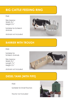### **Big Cattle feeding ring**

#### FS45

Size Approx: Width 3½" Height 2¼"

Suitable for Schleich Animals

*Animals not included*



### **Barrier With troUgh**

FS55

Suitable for Schleich Animals

Size Approx: Width 2¼" Length 7½" Height 2¼"



*Animals not included*

### **diesel tank (With PiPe)**

FS43

Suitable for Small Tractors

*Tractor not included*

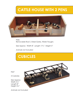### **Cattle hoUse With 2 Pens**



FS56 Removable Roof, 2 Steel Gates, Water Troughs

Size Approx: Width 8", Length 17½", Height 5"

*Animals not included*

# **CUBiCles**

FS57

5 Cubicles

Size Approx: Width 3¼" Length 8" Height 2½"

*Animals not included*

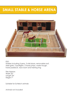### **small staBle & horse arena**



FS51

Stables including 3 pens, 3 stall doors, removable roof, steel gate, 2 spotlights, 2 horse jumps, water trough, horse paddock, tack room and training ring

Size Approx: Width 32" Length 24" Height 7"

Suitable for Schleich animals

*Animals not included*